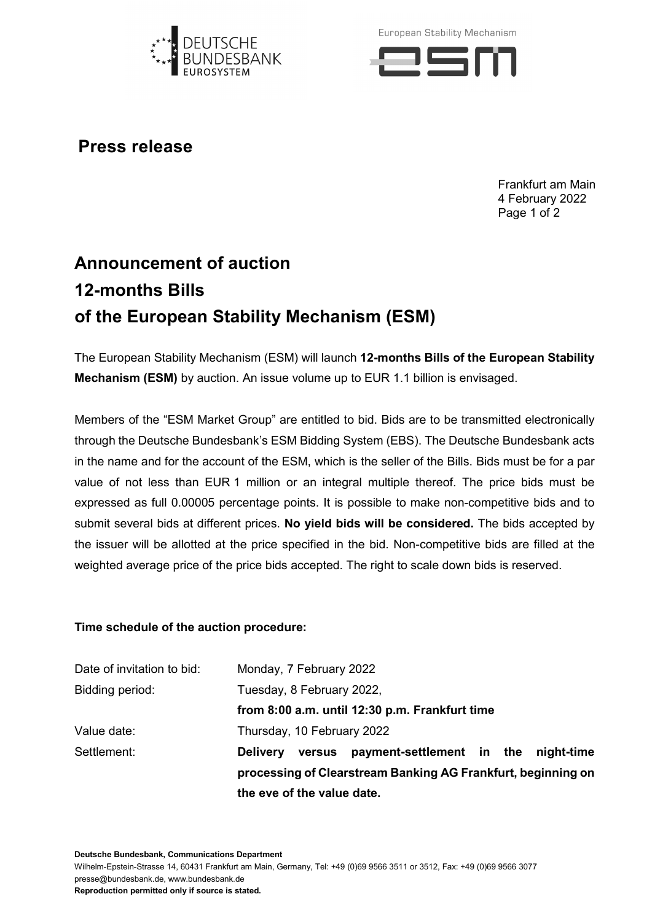

European Stability Mechanism



**Press release**

Frankfurt am Main 4 February 2022 Page 1 of 2

## **Announcement of auction 12-months Bills of the European Stability Mechanism (ESM)**

The European Stability Mechanism (ESM) will launch **12-months Bills of the European Stability Mechanism (ESM)** by auction. An issue volume up to EUR 1.1 billion is envisaged.

Members of the "ESM Market Group" are entitled to bid. Bids are to be transmitted electronically through the Deutsche Bundesbank's ESM Bidding System (EBS). The Deutsche Bundesbank acts in the name and for the account of the ESM, which is the seller of the Bills. Bids must be for a par value of not less than EUR 1 million or an integral multiple thereof. The price bids must be expressed as full 0.00005 percentage points. It is possible to make non-competitive bids and to submit several bids at different prices. **No yield bids will be considered.** The bids accepted by the issuer will be allotted at the price specified in the bid. Non-competitive bids are filled at the weighted average price of the price bids accepted. The right to scale down bids is reserved.

## **Time schedule of the auction procedure:**

|                            | the eve of the value date.                                   |                                             |  |  |  |
|----------------------------|--------------------------------------------------------------|---------------------------------------------|--|--|--|
|                            | processing of Clearstream Banking AG Frankfurt, beginning on |                                             |  |  |  |
| Settlement:                | <b>Delivery</b>                                              | versus payment-settlement in the night-time |  |  |  |
| Value date:                |                                                              | Thursday, 10 February 2022                  |  |  |  |
|                            | from 8:00 a.m. until 12:30 p.m. Frankfurt time               |                                             |  |  |  |
| Bidding period:            | Tuesday, 8 February 2022,                                    |                                             |  |  |  |
| Date of invitation to bid: | Monday, 7 February 2022                                      |                                             |  |  |  |